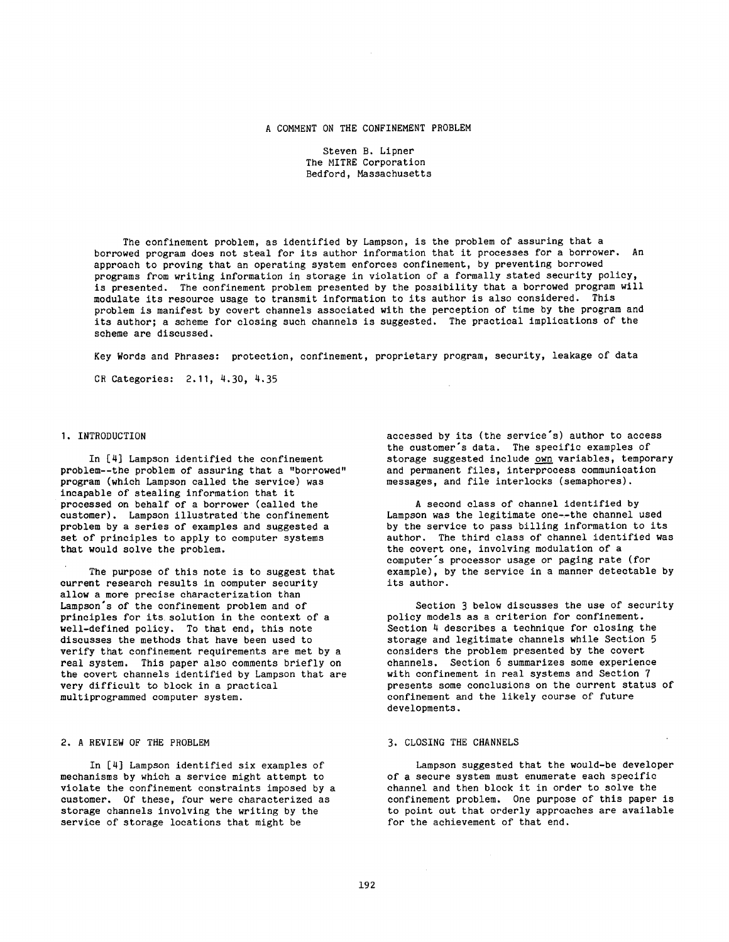### A COMMENT ON THE CONFINEMENT PROBLEM

Steven B. Lipner The MITRE Corporation Bedford, Massachusetts

The confinement problem, as identified by Lampson, is the problem of assuring that a borrowed program does not steal for its author information that it processes for a borrower. An approach to proving that an operating system enforces confinement, by preventing borrowed programs from writing information in storage in violation of a formally stated security policy, is presented. The confinement problem presented by the possibility that a borrowed program will modulate its resource usage to transmit information to its author is also considered. This problem is manifest by covert channels associated with the perception of time by the program and its author; a scheme for closing such channels is suggested. The practical implications of the scheme are discussed.

Key Words and Phrases: protection, confinement, proprietary program, security, leakage of data CR Categories: 2.11, 4.30, 4.35

## I. INTRODUCTION

In [4] Lampson identified the confinement problem--the problem of assuring that a "borrowed" program (which Lampson called the service) was incapable of stealing information that it processed on behalf of a borrower (called the customer). Lampson illustrated the confinement problem by a series of examples and suggested a set of principles to apply to computer systems that would solve the problem.

The purpose of this note is to suggest that current research results in computer security allow a more precise characterization than Lampson's of the confinement problem and of principles for its solution in the context of a well-defined policy. To that end, this note discusses the methods that have been used to verify that confinement requirements are met by a real system. This paper also comments briefly on the covert channels identified by Lampson that are very difficult to block in a practical multiprogrammed computer system.

### 2. A REVIEW OF THE PROBLEM

In [4] Lampson identified six examples of mechanisms by which a service might attempt to violate the confinement constraints imposed by a customer. Of these, four were characterized as storage channels involving the writing by the service of storage locations that might be

accessed by its (the service's) author to access the customer's data. The specific examples of storage suggested include own variables, temporary and permanent files, interprocess communication messages, and file interlocks (semaphores).

A second class of channel identified by Lampson was the legitimate one--the channel used by the service to pass billing information to its author. The third class of channel identified was the covert one, involving modulation of a computer's processor usage or paging rate (for example), by the service in a manner detectable by its author.

Section 3 below discusses the use of security policy models as a criterion for confinement. Section 4 describes a technique for closing the storage and legitimate channels while Section 5 considers the problem presented by the covert channels. Section 6 summarizes some experience with confinement in real systems and Section 7 presents some conclusions on the current status of confinement and the likely course of future developments.

#### 3. CLOSING THE CHANNELS

Lampson suggested that the would-be developer of a secure system must enumerate each specific channel and then block it in order to solve the confinement problem. One purpose of this paper is to point out that orderly approaches are available for the achievement of that end.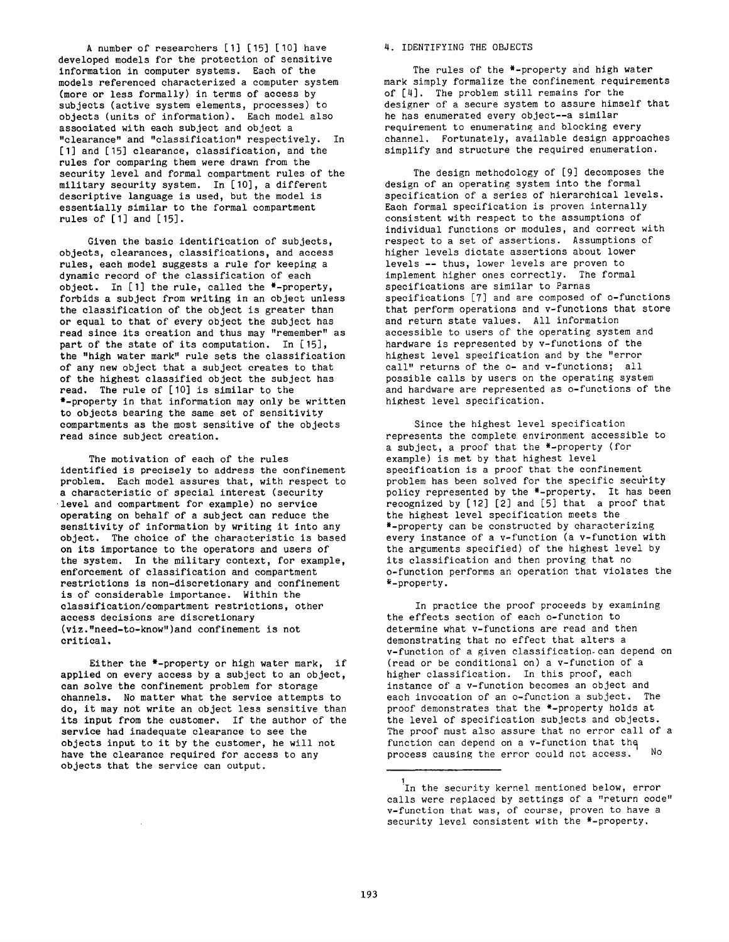A number of researchers [I] [15] [10] have developed models for the protection of sensitive information in computer systems. Each of the models referenced characterized a computer system (more or less formally) in terms of access by subjects (active system elements, processes) to objects (units of information). Each model also associated with each subject and object a "clearance" and "classification" respectively. In [I] and [15] clearance, classification, and the rules for comparing them were drawn from the security level and formal compartment rules of the military security system. In [10], a different descriptive language is used, but the model is essentially similar to the formal compartment rules of [I] and [15].

Given the basic identification of subjects, objects, clearances, classifications, and access rules, each model suggests a rule for keeping a dynamic record of the classification of each object. In [I] the rule, called the \*-property, forbids a subject from writing in an object unless the classification of the object is greater than or equal to that of every object the subject has read since its creation and thus may "remember" as part of the state of its computation. In [15], the "high water mark" rule sets the classification of any new object that a subject creates to that of the highest classified object the subject has read. The rule of [10] is similar to the \*-property in that information may only be written to objects bearing the same set of sensitivity compartments as the most sensitive of the objects read since subject creation.

The motivation of each of the rules identified is precisely to address the confinement problem. Each model assures that, with respect to a characteristic of special interest (security level and compartment for example) no service operating on behalf of a subject can reduce the sensitivity of information by writing it into any object. The choice of the characteristic is based on its importance to the operators and users of the system. In the military context, for example, enforcement of classification and compartment restrictions is non-discretionary and confinement is of considerable importance. Within the classification/compartment restrictions, other access decisions are discretionary (viz."need-to-know")and confinement is not critical.

Either the \*-property or high water mark, if applied on every access by a subject to an object, can solve the confinement problem for storage channels. No matter what the service attempts to do, it may not write an object less sensitive than its input from the customer. If the author of the service had inadequate clearance to see the objects input to it by the customer, he will not have the clearance required for access to any objects that the service can output.

## 4. IDENTIFYING THE OBJECTS

The rules of the \*-property and high water mark simply formalize the confinement requirements of [4]. The problem still remains for the designer of a secure system to assure himself that he has enumerated every object--a similar requirement to enumerating and blocking every channel. Fortunately, available design approaches simplify and structure the required enumeration.

The design methodology of [9] decomposes the design of an operating system into the formal specification of a series of hierarchical levels. Each formal specification is proven internally consistent with respect to the assumptions of individual functions or modules, and correct with respect to a set of assertions. Assumptions of higher levels dictate assertions about lower levels -- thus, lower levels are proven to implement higher ones correctly. The formal specifications are similar to Parnas specifications [7] and are composed of o-functions that perform operations and v-functions that store and return state values. All information accessible to users of the operating system and hardware is represented by v-functions of the highest level specification and by the "error call" returns of the o- and v-functions; all possible calls by users on the operating system and hardware are represented as o-functions of the highest level specification.

Since the highest level specification represents the complete environment accessible to a subject, a proof that the \*-property (for example) is met by that highest level specification is a proof that the confinement problem has been solved for the specific security policy represented by the \*-property. It has been recognized by [12] [2] and [5] that a proof that the highest level specification meets the \*-property can be constructed by characterizing every instance of a v-function (a v-function with the arguments specified) of the highest level by its classification and then proving that no o-function performs an operation that violates the \*-property.

In practice the proof proceeds by examining the effects section of each o-function to determine what v-functions are read and then demonstrating that no effect that alters a v-function of a given classification-can depend on (read or be conditional on) a v-function of a higher classification. In this proof, each instance of a v-function becomes an object and each invocation of an o-function a subject. The proof demonstrates that the \*-property holds at the level of specification subjects and objects. The proof must also assure that no error call of a function can depend on a  $v$ -function that the process causing the error could not access. No

**<sup>!</sup>**  In the security kernel mentioned below, error calls were replaced by settings of a "return code" v-function that was, of course, proven to have a security level consistent with the \*-property.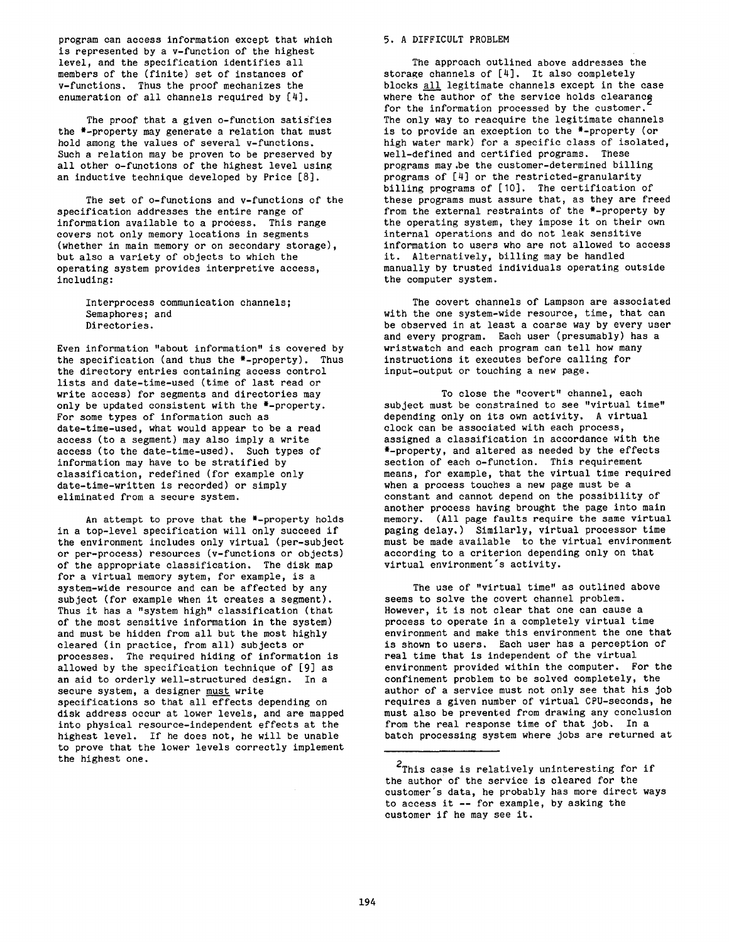program can access information except that which is represented by a v-function of the highest level, and the specification identifies all members of the (finite) set of instances of v-functions. Thus the proof mechanizes the enumeration of all channels required by [4].

The proof that a given o-function satisfies the \*-property may generate a relation that must hold among the values of several v-functions. Such a relation may be proven to be preserved by all other o-functions of the highest level using an inductive technique developed by Price [8].

The set of o-functions and v-functions of the specification addresses the entire range of information available to a process. This range covers not only memory locations in segments (whether in main memory or on secondary storage), but also a variety of objects to which the operating system provides interpretive access, including:

> Interprocess communication channels; Semaphores; and Directories.

Even information "about information" is covered by the specification (and thus the \*-property). Thus the directory entries containing access control lists and date-time-used (time of last read or write access) for segments and directories may only be updated consistent with the \*-property. For some types of information such as date-time-used, what would appear to be a read access (to a segment) may also imply a write access (to the date-time-used). Such types of information may have to be stratified by classification, redefined (for example only date-time-written is recorded) or simply eliminated from a secure system.

An attempt to prove that the \*-property holds in a top-level specification will only succeed if the environment includes only virtual (per-subject or per-process) resources (v-functions or objects) of the appropriate classification. The disk map for a virtual memory sytem, for example, is a system-wide resource and can be affected by any subject (for example when it creates a segment). Thus it has a "system high" classification (that of the most sensitive information in the system) and must be hidden from all but the most highly cleared (in practice, from all) subjects or processes. The required hiding of information is allowed by the specification technique of [9] as an aid to orderly well-structured design. In a secure system, a designer must write specifications so that all effects depending on disk address occur at lower levels, and are mapped into physical resource-independent effects at the highest level. If he does not, he will be unable to prove that the lower levels correctly implement the highest one.

### 5. A DIFFICULT PROBLEM

The approach outlined above addresses the storage channels of [4]. It also completely blocks all legitimate channels except in the case where the author of the service holds clearance for the information processed by the customer. The only way to reacquire the legitimate channels is to provide an exception to the \*-property (or high water mark) for a specific class of isolated, well-defined and certified programs. These programs may.be the customer-determined billing programs of [4] or the restricted-granularity billing programs of [10]. The certification of these programs must assure that, as they are freed from the external restraints of the \*-property by the operating system, they impose it on their own internal operations and do not leak sensitive information to users who are not allowed to access it. Alternatively, billing may be handled manually by trusted individuals operating outside the computer system.

The covert channels of Lampson are associated with the one system-wide resource, time, that can be observed in at least a coarse way by every user and every program. Each user (presumably) has a wristwatch and each program can tell how many instructions it executes before calling for input-output or touching a new page.

To close the "covert" channel, each subject must be constrained to see "virtual time" depending only on its own activity. A virtual clock can be associated with each process, assigned a classification in accordance with the \*-property, and altered as needed by the effects section of each o-function. This requirement means, for example, that the virtual time required when a process touches a new page must be a constant and cannot depend on the possibility of another process having brought the page into main memory. (All page faults require the same virtual paging delay.) Similarly, virtual processor time must be made available to the virtual environment according to a criterion depending only on that virtual environment's activity.

The use of "virtual time" as outlined above seems to solve the covert channel problem. However, it is not clear that one can cause a process to operate in a completely virtual time environment and make this environment the one that is shown to users. Each user has a perception of real time that is independent of the virtual environment provided within the computer. For the confinement problem to be solved completely, the author of a service must not only see that his Job requires a given number of virtual CPU-seconds, he must also be prevented from drawing any conclusion from the real response time of that Job. In a batch processing system where jobs are returned at

<sup>&</sup>lt;sup>2</sup>This case is relatively uninteresting for if the author of the service is cleared for the customer's data, he probably has more direct ways to access it -- for example, by asking the customer if he may see it.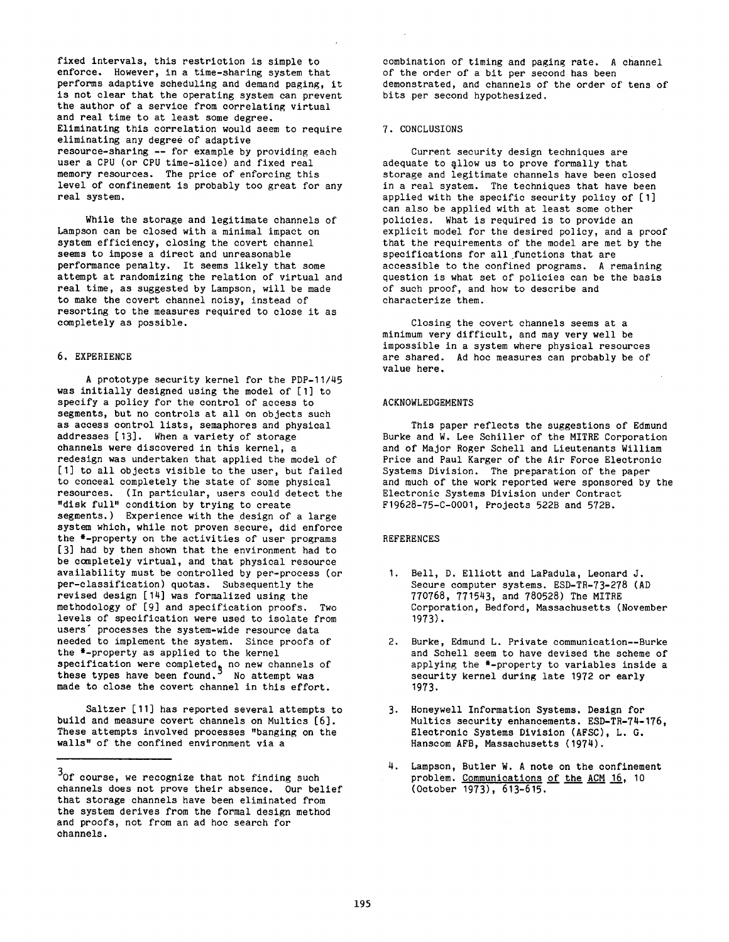fixed intervals, this restriction is simple to enforce. However, in a time-sharing system that performs adaptive scheduling and demand paging, it is not clear that the operating system can prevent the author of a service from correlating virtual and real time to at least some degree. Eliminating this correlation would seem to require eliminating any degree of adaptive resource-sharing -- for example by providing each user a CPU (or CPU time-slice) and fixed real memory resources. The price of enforcing this level of confinement is probably too great for any real system.

While the storage and legitimate channels of Lampson can be closed with a minimal impact on system efficiency, closing the covert channel seems to impose a direct and unreasonable performance penalty. It seems likely that some attempt at randomizing the relation of virtual and real time, as suggested by Lampson, will be made to make the covert channel noisy, instead of resorting to the measures required to close it as completely as possible.

## 6. EXPERIENCE

A prototype security kernel for the PDP-11/45 was initially designed using the model of [I] to specify a policy for the control of access to segments, but no controls at all on objects such as access control lists, semaphores and physical addresses [13]. When a variety of storage channels were discovered in this kernel, a redesign was undertaken that applied the model of [I] to all objects visible to the user, but failed to conceal completely the state of some physical resources. (In particular, users could detect the "disk full" condition by trying to create segments.) Experience with the design of a large system which, while not proven secure, did enforce the \*-property on the activities of user programs [3] had by then shown that the environment had to be completely virtual, and that physical resource availability must be controlled by per-process (or per-classification) quotas. Subsequently the revised design [14] was formalized using the methodology of [9] and specification proofs. Two levels of specification were used to isolate from users" processes the system-wide resource data needed to implement the system. Since proofs of the \*-property as applied to the kernel specification were completed, no new channels of these types have been found." No attempt was made to close the covert channel in this effort.

Saltzer [11] has reported several attempts to build and measure covert channels on Multics [6]. These attempts involved processes "banging on the walls" of the confined environment via a

combination of timing and paging rate. A channel of the order of a bit per second has been demonstrated, and channels of the order of tens of bits per second hypothesized.

#### 7. CONCLUSIONS

Current security design techniques are adequate to allow us to prove formally that storage and legitimate channels have been closed in a real system. The techniques that have been applied with the specific security policy of [I] can also be applied with at least some other policies. What is required is to provide an explicit model for the desired policy, and a proof that the requirements of the model are met by the specifications for all functions that are accessible to the confined programs. A remaining question is what set of policies can be the basis of such proof, and how to describe and characterize them.

Closing the covert channels seems at a minimum very difficult, and may very well be impossible in a system where physical resources are shared. Ad hoc measures can probably be of value here.

### ACKNOWLEDGEMENTS

This paper reflects the suggestions of Edmund Burke and W. Lee Schiller of the MITRE Corporation and of Major Roger Schell and Lieutenants William Price and Paul Karger of the Air Force Electronic Systems Division. The preparation of the paper and much of the work reported were sponsored by the Electronic Systems Division under Contract F19628-75-C-0001, Projects 522B and 572B.

# REFERENCES

- I. Bell, D. Elliott and LaPadula, Leonard J. Secure computer systems. ESD-TR-73-278 (AD 770768, 771543, and 780528) The MITRE Corporation, Bedford, Massachusetts (November 1973).
- 2. Burke, Edmund L. Private communication--Burke and Schell seem to have devised the scheme of applying the \*-property to variables inside a security kernel during late 1972 or early 1973.
- 3. Honeywell Information Systems. Design for Multics security enhancements. ESD-TR-74-176, Electronic Systems Division (AFSC), L. G. Hanscom AFB, Massachusetts (1974).
- 4. Lampson, Butler W. A note on the confinement problem. Communications of the ACM 16, 10 (October 1973), 613-615.

 $^3$ Of course, we recognize that not finding such channels does not prove their absence. Our belief that storage channels have been eliminated from the system derives from the formal design method and proofs, not from an ad hoc search for channels.